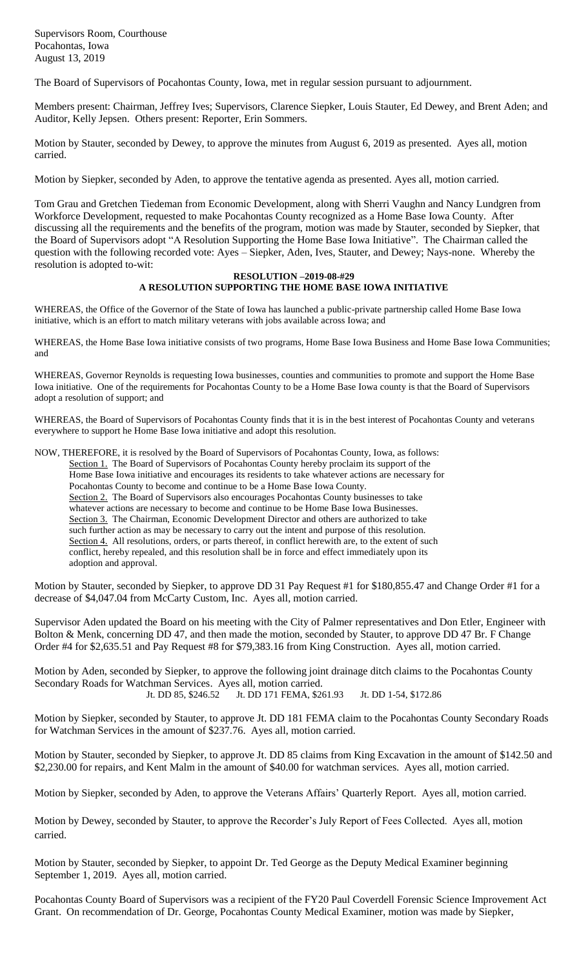Supervisors Room, Courthouse Pocahontas, Iowa August 13, 2019

The Board of Supervisors of Pocahontas County, Iowa, met in regular session pursuant to adjournment.

Members present: Chairman, Jeffrey Ives; Supervisors, Clarence Siepker, Louis Stauter, Ed Dewey, and Brent Aden; and Auditor, Kelly Jepsen. Others present: Reporter, Erin Sommers.

Motion by Stauter, seconded by Dewey, to approve the minutes from August 6, 2019 as presented. Ayes all, motion carried.

Motion by Siepker, seconded by Aden, to approve the tentative agenda as presented. Ayes all, motion carried.

Tom Grau and Gretchen Tiedeman from Economic Development, along with Sherri Vaughn and Nancy Lundgren from Workforce Development, requested to make Pocahontas County recognized as a Home Base Iowa County. After discussing all the requirements and the benefits of the program, motion was made by Stauter, seconded by Siepker, that the Board of Supervisors adopt "A Resolution Supporting the Home Base Iowa Initiative". The Chairman called the question with the following recorded vote: Ayes – Siepker, Aden, Ives, Stauter, and Dewey; Nays-none. Whereby the resolution is adopted to-wit:

## **RESOLUTION –2019-08-#29 A RESOLUTION SUPPORTING THE HOME BASE IOWA INITIATIVE**

WHEREAS, the Office of the Governor of the State of Iowa has launched a public-private partnership called Home Base Iowa initiative, which is an effort to match military veterans with jobs available across Iowa; and

WHEREAS, the Home Base Iowa initiative consists of two programs, Home Base Iowa Business and Home Base Iowa Communities; and

WHEREAS, Governor Reynolds is requesting Iowa businesses, counties and communities to promote and support the Home Base Iowa initiative. One of the requirements for Pocahontas County to be a Home Base Iowa county is that the Board of Supervisors adopt a resolution of support; and

WHEREAS, the Board of Supervisors of Pocahontas County finds that it is in the best interest of Pocahontas County and veterans everywhere to support he Home Base Iowa initiative and adopt this resolution.

NOW, THEREFORE, it is resolved by the Board of Supervisors of Pocahontas County, Iowa, as follows:

Section 1. The Board of Supervisors of Pocahontas County hereby proclaim its support of the Home Base Iowa initiative and encourages its residents to take whatever actions are necessary for Pocahontas County to become and continue to be a Home Base Iowa County. Section 2. The Board of Supervisors also encourages Pocahontas County businesses to take whatever actions are necessary to become and continue to be Home Base Iowa Businesses. Section 3. The Chairman, Economic Development Director and others are authorized to take such further action as may be necessary to carry out the intent and purpose of this resolution. Section 4. All resolutions, orders, or parts thereof, in conflict herewith are, to the extent of such conflict, hereby repealed, and this resolution shall be in force and effect immediately upon its adoption and approval.

Motion by Stauter, seconded by Siepker, to approve DD 31 Pay Request #1 for \$180,855.47 and Change Order #1 for a decrease of \$4,047.04 from McCarty Custom, Inc. Ayes all, motion carried.

Supervisor Aden updated the Board on his meeting with the City of Palmer representatives and Don Etler, Engineer with Bolton & Menk, concerning DD 47, and then made the motion, seconded by Stauter, to approve DD 47 Br. F Change Order #4 for \$2,635.51 and Pay Request #8 for \$79,383.16 from King Construction. Ayes all, motion carried.

Motion by Aden, seconded by Siepker, to approve the following joint drainage ditch claims to the Pocahontas County Secondary Roads for Watchman Services. Ayes all, motion carried.<br>Jt. DD 85, \$246.52 Jt. DD 171 FEMA, \$26 Jt. DD 171 FEMA, \$261.93 Jt. DD 1-54, \$172.86

Motion by Siepker, seconded by Stauter, to approve Jt. DD 181 FEMA claim to the Pocahontas County Secondary Roads for Watchman Services in the amount of \$237.76. Ayes all, motion carried.

Motion by Stauter, seconded by Siepker, to approve Jt. DD 85 claims from King Excavation in the amount of \$142.50 and \$2,230.00 for repairs, and Kent Malm in the amount of \$40.00 for watchman services. Ayes all, motion carried.

Motion by Siepker, seconded by Aden, to approve the Veterans Affairs' Quarterly Report. Ayes all, motion carried.

Motion by Dewey, seconded by Stauter, to approve the Recorder's July Report of Fees Collected. Ayes all, motion carried.

Motion by Stauter, seconded by Siepker, to appoint Dr. Ted George as the Deputy Medical Examiner beginning September 1, 2019. Ayes all, motion carried.

Pocahontas County Board of Supervisors was a recipient of the FY20 Paul Coverdell Forensic Science Improvement Act Grant. On recommendation of Dr. George, Pocahontas County Medical Examiner, motion was made by Siepker,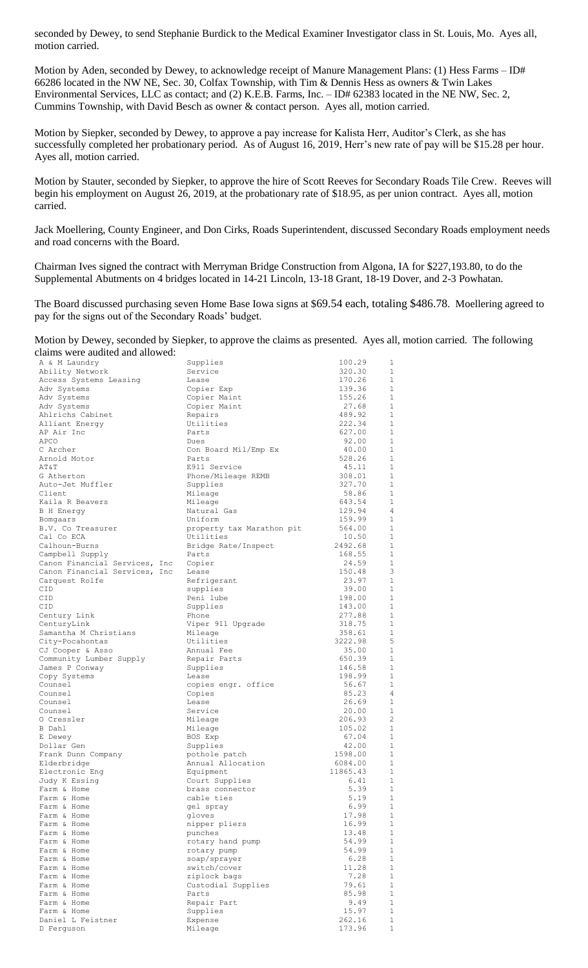seconded by Dewey, to send Stephanie Burdick to the Medical Examiner Investigator class in St. Louis, Mo. Ayes all, motion carried.

Motion by Aden, seconded by Dewey, to acknowledge receipt of Manure Management Plans: (1) Hess Farms – ID# 66286 located in the NW NE, Sec. 30, Colfax Township, with Tim & Dennis Hess as owners & Twin Lakes Environmental Services, LLC as contact; and (2) K.E.B. Farms, Inc. – ID# 62383 located in the NE NW, Sec. 2, Cummins Township, with David Besch as owner & contact person. Ayes all, motion carried.

Motion by Siepker, seconded by Dewey, to approve a pay increase for Kalista Herr, Auditor's Clerk, as she has successfully completed her probationary period. As of August 16, 2019, Herr's new rate of pay will be \$15.28 per hour. Ayes all, motion carried.

Motion by Stauter, seconded by Siepker, to approve the hire of Scott Reeves for Secondary Roads Tile Crew. Reeves will begin his employment on August 26, 2019, at the probationary rate of \$18.95, as per union contract. Ayes all, motion carried.

Jack Moellering, County Engineer, and Don Cirks, Roads Superintendent, discussed Secondary Roads employment needs and road concerns with the Board.

Chairman Ives signed the contract with Merryman Bridge Construction from Algona, IA for \$227,193.80, to do the Supplemental Abutments on 4 bridges located in 14-21 Lincoln, 13-18 Grant, 18-19 Dover, and 2-3 Powhatan.

The Board discussed purchasing seven Home Base Iowa signs at \$69.54 each, totaling \$486.78. Moellering agreed to pay for the signs out of the Secondary Roads' budget.

Motion by Dewey, seconded by Siepker, to approve the claims as presented. Ayes all, motion carried. The following claims were audited and allowed:

| A & M Laundry                 | Supplies                  | 100.29   | 1              |
|-------------------------------|---------------------------|----------|----------------|
| Ability Network               | Service                   | 320.30   | 1              |
| Access Systems Leasing        | Lease                     | 170.26   | $\mathbf{1}$   |
| Adv Systems                   | Copier Exp                | 139.36   | 1              |
| Adv Systems                   | Copier Maint              | 155.26   | $\mathbf{1}$   |
| Adv Systems                   | Copier Maint              | 27.68    | $\mathbf{1}$   |
| Ahlrichs Cabinet              | Repairs                   | 489.92   | 1              |
| Alliant Energy                | Utilities                 | 222.34   | 1              |
| AP Air Inc                    | Parts                     | 627.00   | $\mathbf{1}$   |
| APCO                          | Dues                      | 92.00    | $\mathbf{1}$   |
| C Archer                      | Con Board Mil/Emp Ex      | 40.00    | 1              |
| Arnold Motor                  | Parts                     | 528.26   | $\mathbf{1}$   |
| AT&T                          | E911 Service              | 45.11    | $\mathbf{1}$   |
| G Atherton                    | Phone/Mileage REMB        | 308.01   | $\mathbf{1}$   |
| Auto-Jet Muffler              | Supplies                  | 327.70   | $\mathbf{1}$   |
| Client                        | Mileage                   | 58.86    | $\mathbf{1}$   |
| Kaila R Beavers               | Mileage                   | 643.54   | 1              |
| B H Energy                    | Natural Gas               | 129.94   | 4              |
| Bomgaars                      | Uniform                   | 159.99   | $\mathbf{1}$   |
| B.V. Co Treasurer             | property tax Marathon pit | 564.00   | 1              |
| Cal Co ECA                    | Utilities                 | 10.50    | $\mathbf{1}$   |
| Calhoun-Burns                 | Bridge Rate/Inspect       | 2492.68  | $\mathbf{1}$   |
| Campbell Supply               | Parts                     | 168.55   | $\mathbf{1}$   |
| Canon Financial Services, Inc | Copier                    | 24.59    | $\mathbf{1}$   |
| Canon Financial Services, Inc | Lease                     | 150.48   | 3              |
| Carquest Rolfe                | Refrigerant               | 23.97    | $\mathbf{1}$   |
| CID                           | supplies                  | 39.00    | $\mathbf{1}$   |
| CID                           | Peni lube                 | 198.00   | $\mathbf{1}$   |
| CID                           | Supplies                  | 143.00   | $\mathbf{1}$   |
| Century Link                  | Phone                     | 277.88   | $\mathbf{1}$   |
| CenturyLink                   | Viper 911 Upgrade         | 318.75   | $\mathbf{1}$   |
| Samantha M Christians         | Mileage                   | 358.61   | $\mathbf{1}$   |
| City-Pocahontas               | Utilities                 | 3222.98  | 5              |
| CJ Cooper & Asso              | Annual Fee                | 35.00    | $\mathbf{1}$   |
| Community Lumber Supply       | Repair Parts              | 650.39   | $\mathbf{1}$   |
| James P Conway                | Supplies                  | 146.58   | $\mathbf{1}$   |
| Copy Systems                  | Lease                     | 198.99   | $\mathbf{1}$   |
| Counsel                       | copies engr. office       | 56.67    | $\mathbf{1}$   |
| Counsel                       | Copies                    | 85.23    | 4              |
| Counsel                       | Lease                     | 26.69    | $\mathbf{1}$   |
| Counsel                       | Service                   | 20.00    | $\mathbf{1}$   |
| 0 Cressler                    | Mileage                   | 206.93   | 2              |
| B Dahl                        | Mileage                   | 105.02   | 1              |
| E Dewey                       | BOS Exp                   | 67.04    | 1              |
| Dollar Gen                    | Supplies                  | 42.00    | $\mathbf{1}$   |
| Frank Dunn Company            | pothole patch             | 1598.00  | 1              |
| Elderbridge                   | Annual Allocation         | 6084.00  | $\mathbf{1}$   |
| Electronic Eng                | Equipment                 | 11865.43 | $\mathbf{1}$   |
| Judy K Essing                 | Court Supplies            | 6.41     | $\mathbf{1}$   |
| Farm & Home                   | brass connector           | 5.39     | $\overline{1}$ |
| Farm & Home                   | cable ties                | 5.19     | $\mathbf{1}$   |
| Farm & Home                   | gel spray                 | 6.99     | $\mathbf{1}$   |
| Farm & Home                   | gloves                    | 17.98    | 1              |
| Farm & Home                   | nipper pliers             | 16.99    | $\mathbf{1}$   |
| Farm & Home                   | punches                   | 13.48    | $\mathbf{1}$   |
| Farm & Home                   | rotary hand pump          | 54.99    | $\mathbf{1}$   |
| Farm & Home                   | rotary pump               | 54.99    | $\mathbf{1}$   |
| Farm & Home                   | soap/sprayer              | 6.28     | $\mathbf{1}$   |
| Farm & Home                   | switch/cover              | 11.28    | $\mathbf{1}$   |
| Farm & Home                   | ziplock bags              | 7.28     | $\mathbf{1}$   |
| Farm & Home                   | Custodial Supplies        | 79.61    | $\mathbf{1}$   |
| Farm & Home                   | Parts                     | 85.98    | $\mathbf{1}$   |
| Farm & Home                   | Repair Part               | 9.49     | $\mathbf{1}$   |
| Farm & Home                   | Supplies                  | 15.97    | $\mathbf{1}$   |
| Daniel L Feistner             | Expense                   | 262.16   | $\mathbf{1}$   |
| D Ferguson                    | Mileage                   | 173.96   | 1              |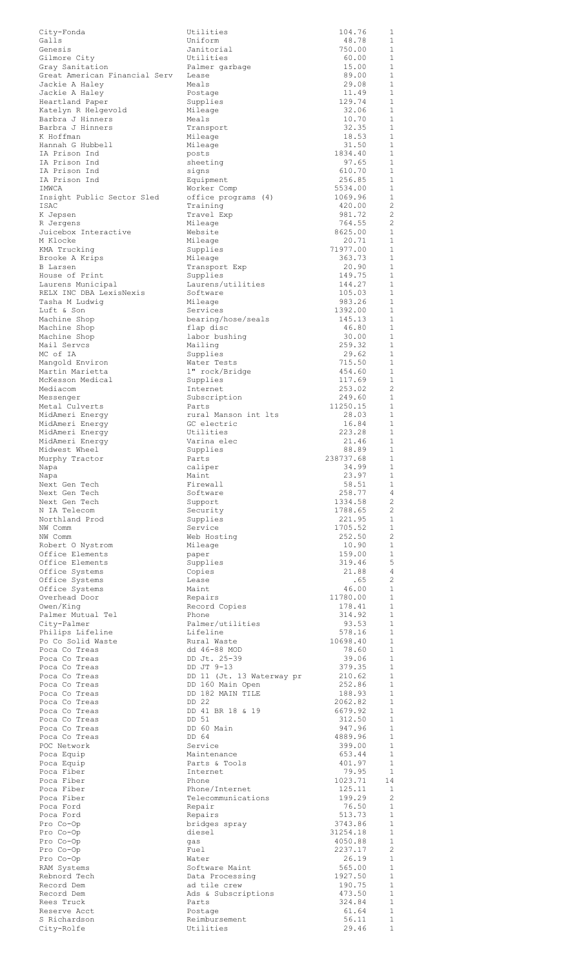| City-Fonda                      | Utilities                 | 104.76            | 1              |
|---------------------------------|---------------------------|-------------------|----------------|
| Galls                           | Uniform                   | 48.78             | $\mathbf{1}$   |
| Genesis<br>Gilmore City         | Janitorial                | 750.00            | 1              |
| Gray Sanitation                 | Utilities                 | 60.00             | $\mathbf{1}$   |
|                                 | Palmer garbage            | 15.00             | 1              |
| Great American Financial Serv   | Lease                     | 89.00             | $\mathbf{1}$   |
| Jackie A Haley                  | Meals                     | 29.08             | 1              |
| Jackie A Haley                  | Postage                   | 11.49             | $\mathbf{1}$   |
| Heartland Paper                 | Supplies                  | 129.74            | $\mathbf{1}$   |
| Katelyn R Helgevold             | Mileage                   | 32.06             | 1              |
| Barbra J Hinners                | Meals                     | 10.70             | 1              |
| Barbra J Hinners                | Transport                 | 32.35             | $\mathbf{1}$   |
| K Hoffman                       | Mileage                   | 18.53             | $\mathbf{1}$   |
| Hannah G Hubbell                | Mileage                   | 31.50             | 1              |
| IA Prison Ind                   | posts                     | 1834.40           | $\mathbf{1}$   |
| IA Prison Ind                   | sheeting                  | 97.65             | $\mathbf{1}$   |
| IA Prison Ind                   | signs                     | 610.70            | $\mathbf{1}$   |
| IA Prison Ind                   | Equipment                 | 256.85            | 1              |
| IMWCA                           | Worker Comp               | 5534.00           | $\mathbf{1}$   |
| Insight Public Sector Sled      | office programs (4)       | 1069.96           | $\mathbf{1}$   |
| ISAC                            | Training                  | 420.00            | $\overline{c}$ |
| K Jepsen                        | Travel Exp                | 981.72            | 2              |
| R Jergens                       | Mileage                   | 764.55            | 2              |
| Juicebox Interactive            | Website                   | 8625.00           | $\mathbf{1}$   |
| M Klocke                        | Mileage                   | 20.71             | $\mathbf{1}$   |
| KMA Trucking                    | Supplies                  | 71977.00          | $\mathbf{1}$   |
| Brooke A Krips                  | Mileage                   | 363.73            | $\mathbf{1}$   |
| B Larsen                        | Transport Exp             | 20.90             | $\mathbf{1}$   |
| House of Print                  | Supplies                  | 149.75            | 1              |
| Laurens Municipal               | Laurens/utilities         | 144.27            | 1              |
| RELX INC DBA LexisNexis         | Software                  | 105.03            | 1              |
| Tasha M Ludwiq                  | Mileage                   | 983.26            | $\mathbf{1}$   |
| Luft & Son                      | Services                  | 1392.00           | 1              |
| Machine Shop                    | bearing/hose/seals        | 145.13            | $\mathbf{1}$   |
| Machine Shop                    | flap disc                 | 46.80             | $\mathbf{1}$   |
| Machine Shop                    | labor bushing             | 30.00             | 1              |
| Mail Servcs                     | Mailing                   | 259.32            | 1              |
| MC of IA                        | Supplies                  | 29.62             | $\mathbf{1}$   |
| Mangold Environ                 | Water Tests               | 715.50            | 1              |
| Martin Marietta                 | 1" rock/Bridge            | 454.60            | 1              |
| McKesson Medical                | Supplies                  | 117.69            | 1              |
| Mediacom                        | Internet                  | 253.02            | 2              |
| Messenger                       | Subscription              | 249.60            | 1              |
| Metal Culverts                  | Parts                     | 11250.15          | $\mathbf{1}$   |
| MidAmeri Energy                 | rural Manson int lts      | 28.03             | $\mathbf{1}$   |
| MidAmeri Energy                 | GC electric               | 16.84             | 1              |
| MidAmeri Energy                 | Utilities                 | 223.28            | $\mathbf{1}$   |
| MidAmeri Energy                 | Varina elec               | 21.46             | $\mathbf{1}$   |
| Midwest Wheel                   | Supplies                  | 88.89             | 1              |
| Murphy Tractor                  | Parts                     | 238737.68         | 1              |
| Napa                            | caliper                   | 34.99             | 1              |
| Napa                            | Maint                     | 23.97             | 1              |
| Next Gen Tech                   | Firewall<br>Software      | 58.51             | 1<br>4         |
| Next Gen Tech<br>Next Gen Tech  | Support                   | 258.77<br>1334.58 | 2              |
| N IA Telecom                    | Security                  | 1788.65           | 2              |
| Northland Prod                  | Supplies                  | 221.95            | 1              |
| NW Comm                         | Service                   | 1705.52           | $\mathbf{1}$   |
| NW Comm                         | Web Hosting               | 252.50            | 2              |
| Robert O Nystrom                | Mileage                   | 10.90             | 1              |
| Office Elements                 | paper                     | 159.00            | 1              |
| Office Elements                 | Supplies                  | 319.46            | 5              |
| Office Systems                  | Copies                    | 21.88             | 4              |
| Office Systems                  | Lease                     | .65               | 2              |
|                                 | Maint                     | 46.00             | $\mathbf{1}$   |
| Office Systems<br>Overhead Door | Repairs                   | 11780.00          | $\mathbf{1}$   |
| Owen/King                       | Record Copies             | 178.41            | $\mathbf{1}$   |
| Palmer Mutual Tel               | Phone                     | 314.92            | $\mathbf{1}$   |
| City-Palmer                     | Palmer/utilities          | 93.53             | $\mathbf{1}$   |
| Philips Lifeline                | Lifeline                  | 578.16            | $\mathbf{1}$   |
| Po Co Solid Waste               | Rural Waste               | 10698.40          | $\mathbf{1}$   |
| Poca Co Treas                   | dd 46-88 MOD              | 78.60             | $\mathbf{1}$   |
| Poca Co Treas                   | DD Jt. 25-39              | 39.06             | $\mathbf{1}$   |
| Poca Co Treas                   | DD JT 9-13                | 379.35            | $\mathbf{1}$   |
| Poca Co Treas                   | DD 11 (Jt. 13 Waterway pr | 210.62            | 1<br>1         |
| Poca Co Treas                   | DD 160 Main Open          | 252.86            | 1              |
| Poca Co Treas                   | DD 182 MAIN TILE          | 188.93            |                |
| Poca Co Treas                   | DD 22                     | 2062.82           | 1              |
| Poca Co Treas                   | DD 41 BR 18 & 19          | 6679.92           | 1              |
| Poca Co Treas                   | DD 51                     | 312.50            | $\mathbf{1}$   |
| Poca Co Treas                   | DD 60 Main                | 947.96            | $\mathbf{1}$   |
| Poca Co Treas                   | DD 64                     | 4889.96           | 1              |
| POC Network                     | Service                   | 399.00            | $\mathbf{1}$   |
| Poca Equip                      | Maintenance               | 653.44            | 1              |
| Poca Equip                      | Parts & Tools             | 401.97            | 1              |
| Poca Fiber                      | Internet                  | 79.95             | 1              |
| Poca Fiber                      | Phone                     | 1023.71           | 14             |
| Poca Fiber                      | Phone/Internet            | 125.11            | <sup>1</sup>   |
| Poca Fiber                      | Telecommunications        | 199.29            | 2              |
| Poca Ford                       | Repair                    | 76.50             | 1              |
| Poca Ford                       | Repairs                   | 513.73            | $\mathbf{1}$   |
| Pro Co-Op                       | bridges spray             | 3743.86           | 1              |
| Pro Co-Op                       | diesel                    | 31254.18          | 1              |
| Pro Co-Op                       | gas                       | 4050.88           | $\mathbf{1}$   |
| Pro Co-Op                       | Fuel                      | 2237.17           | 2              |
| Pro Co-Op                       | Water                     | 26.19             | $\mathbf{1}$   |
| RAM Systems                     | Software Maint            | 565.00            | 1              |
| Rebnord Tech                    | Data Processing           | 1927.50           | $\mathbf{1}$   |
| Record Dem                      | ad tile crew              | 190.75            | $\mathbf{1}$   |
| Record Dem                      | Ads & Subscriptions       | 473.50            | 1              |
| Rees Truck                      | Parts                     | 324.84            | $\mathbf{1}$   |
| Reserve Acct                    | Postage                   | 61.64             | 1              |
| S Richardson                    | Reimbursement             | 56.11             | $\mathbf{1}$   |
| City-Rolfe                      | Utilities                 | 29.46             | $\mathbf{1}$   |